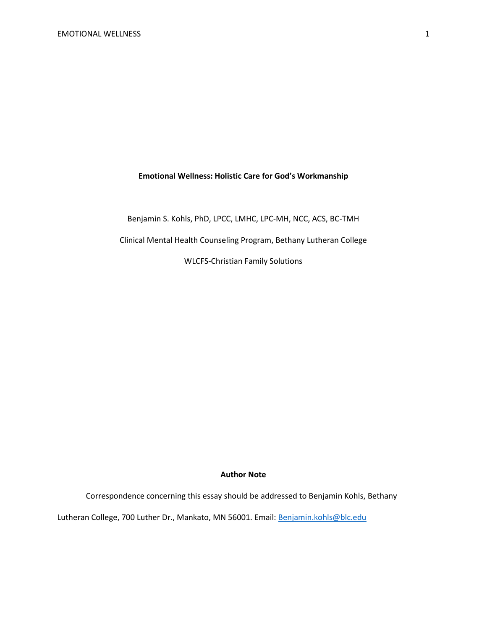## **Emotional Wellness: Holistic Care for God's Workmanship**

Benjamin S. Kohls, PhD, LPCC, LMHC, LPC-MH, NCC, ACS, BC-TMH

Clinical Mental Health Counseling Program, Bethany Lutheran College

WLCFS-Christian Family Solutions

## **Author Note**

Correspondence concerning this essay should be addressed to Benjamin Kohls, Bethany

Lutheran College, 700 Luther Dr., Mankato, MN 56001. Email[: Benjamin.kohls@blc.edu](mailto:Benjamin.kohls@blc.edu)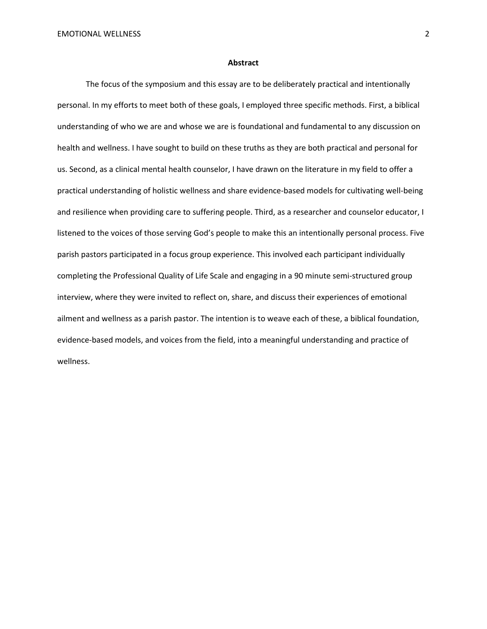#### **Abstract**

The focus of the symposium and this essay are to be deliberately practical and intentionally personal. In my efforts to meet both of these goals, I employed three specific methods. First, a biblical understanding of who we are and whose we are is foundational and fundamental to any discussion on health and wellness. I have sought to build on these truths as they are both practical and personal for us. Second, as a clinical mental health counselor, I have drawn on the literature in my field to offer a practical understanding of holistic wellness and share evidence-based models for cultivating well-being and resilience when providing care to suffering people. Third, as a researcher and counselor educator, I listened to the voices of those serving God's people to make this an intentionally personal process. Five parish pastors participated in a focus group experience. This involved each participant individually completing the Professional Quality of Life Scale and engaging in a 90 minute semi-structured group interview, where they were invited to reflect on, share, and discuss their experiences of emotional ailment and wellness as a parish pastor. The intention is to weave each of these, a biblical foundation, evidence-based models, and voices from the field, into a meaningful understanding and practice of wellness.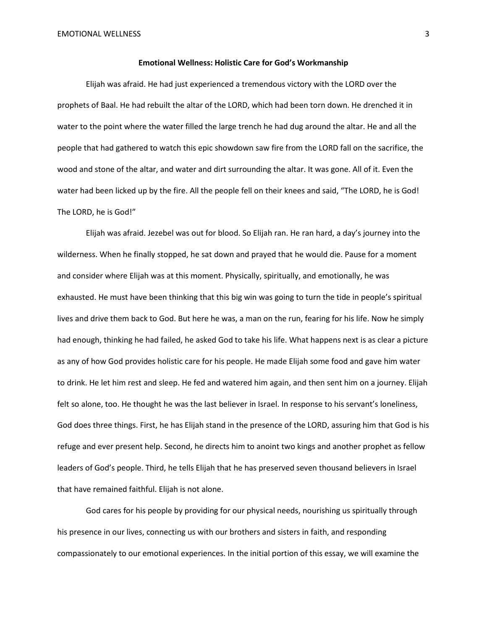#### **Emotional Wellness: Holistic Care for God's Workmanship**

Elijah was afraid. He had just experienced a tremendous victory with the LORD over the prophets of Baal. He had rebuilt the altar of the LORD, which had been torn down. He drenched it in water to the point where the water filled the large trench he had dug around the altar. He and all the people that had gathered to watch this epic showdown saw fire from the LORD fall on the sacrifice, the wood and stone of the altar, and water and dirt surrounding the altar. It was gone. All of it. Even the water had been licked up by the fire. All the people fell on their knees and said, "The LORD, he is God! The LORD, he is God!"

Elijah was afraid. Jezebel was out for blood. So Elijah ran. He ran hard, a day's journey into the wilderness. When he finally stopped, he sat down and prayed that he would die. Pause for a moment and consider where Elijah was at this moment. Physically, spiritually, and emotionally, he was exhausted. He must have been thinking that this big win was going to turn the tide in people's spiritual lives and drive them back to God. But here he was, a man on the run, fearing for his life. Now he simply had enough, thinking he had failed, he asked God to take his life. What happens next is as clear a picture as any of how God provides holistic care for his people. He made Elijah some food and gave him water to drink. He let him rest and sleep. He fed and watered him again, and then sent him on a journey. Elijah felt so alone, too. He thought he was the last believer in Israel. In response to his servant's loneliness, God does three things. First, he has Elijah stand in the presence of the LORD, assuring him that God is his refuge and ever present help. Second, he directs him to anoint two kings and another prophet as fellow leaders of God's people. Third, he tells Elijah that he has preserved seven thousand believers in Israel that have remained faithful. Elijah is not alone.

God cares for his people by providing for our physical needs, nourishing us spiritually through his presence in our lives, connecting us with our brothers and sisters in faith, and responding compassionately to our emotional experiences. In the initial portion of this essay, we will examine the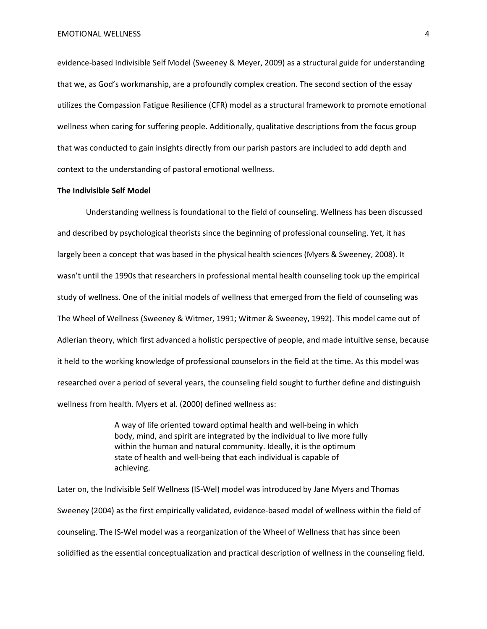evidence-based Indivisible Self Model (Sweeney & Meyer, 2009) as a structural guide for understanding that we, as God's workmanship, are a profoundly complex creation. The second section of the essay utilizes the Compassion Fatigue Resilience (CFR) model as a structural framework to promote emotional wellness when caring for suffering people. Additionally, qualitative descriptions from the focus group that was conducted to gain insights directly from our parish pastors are included to add depth and context to the understanding of pastoral emotional wellness.

#### **The Indivisible Self Model**

Understanding wellness is foundational to the field of counseling. Wellness has been discussed and described by psychological theorists since the beginning of professional counseling. Yet, it has largely been a concept that was based in the physical health sciences (Myers & Sweeney, 2008). It wasn't until the 1990s that researchers in professional mental health counseling took up the empirical study of wellness. One of the initial models of wellness that emerged from the field of counseling was The Wheel of Wellness (Sweeney & Witmer, 1991; Witmer & Sweeney, 1992). This model came out of Adlerian theory, which first advanced a holistic perspective of people, and made intuitive sense, because it held to the working knowledge of professional counselors in the field at the time. As this model was researched over a period of several years, the counseling field sought to further define and distinguish wellness from health. Myers et al. (2000) defined wellness as:

> A way of life oriented toward optimal health and well-being in which body, mind, and spirit are integrated by the individual to live more fully within the human and natural community. Ideally, it is the optimum state of health and well-being that each individual is capable of achieving.

Later on, the Indivisible Self Wellness (IS-Wel) model was introduced by Jane Myers and Thomas Sweeney (2004) as the first empirically validated, evidence-based model of wellness within the field of counseling. The IS-Wel model was a reorganization of the Wheel of Wellness that has since been solidified as the essential conceptualization and practical description of wellness in the counseling field.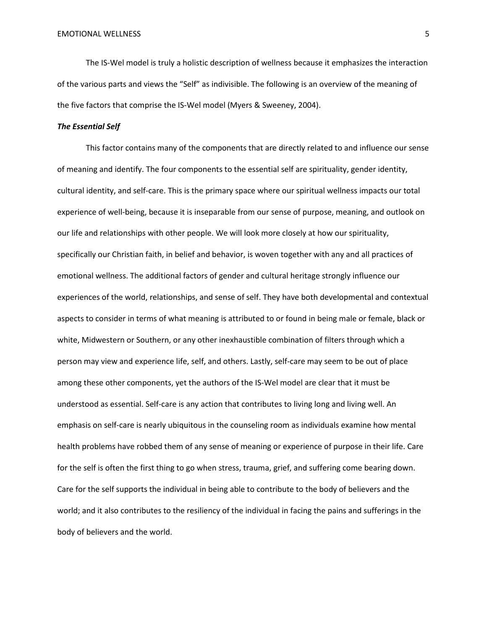The IS-Wel model is truly a holistic description of wellness because it emphasizes the interaction of the various parts and views the "Self" as indivisible. The following is an overview of the meaning of the five factors that comprise the IS-Wel model (Myers & Sweeney, 2004).

#### *The Essential Self*

This factor contains many of the components that are directly related to and influence our sense of meaning and identify. The four components to the essential self are spirituality, gender identity, cultural identity, and self-care. This is the primary space where our spiritual wellness impacts our total experience of well-being, because it is inseparable from our sense of purpose, meaning, and outlook on our life and relationships with other people. We will look more closely at how our spirituality, specifically our Christian faith, in belief and behavior, is woven together with any and all practices of emotional wellness. The additional factors of gender and cultural heritage strongly influence our experiences of the world, relationships, and sense of self. They have both developmental and contextual aspects to consider in terms of what meaning is attributed to or found in being male or female, black or white, Midwestern or Southern, or any other inexhaustible combination of filters through which a person may view and experience life, self, and others. Lastly, self-care may seem to be out of place among these other components, yet the authors of the IS-Wel model are clear that it must be understood as essential. Self-care is any action that contributes to living long and living well. An emphasis on self-care is nearly ubiquitous in the counseling room as individuals examine how mental health problems have robbed them of any sense of meaning or experience of purpose in their life. Care for the self is often the first thing to go when stress, trauma, grief, and suffering come bearing down. Care for the self supports the individual in being able to contribute to the body of believers and the world; and it also contributes to the resiliency of the individual in facing the pains and sufferings in the body of believers and the world.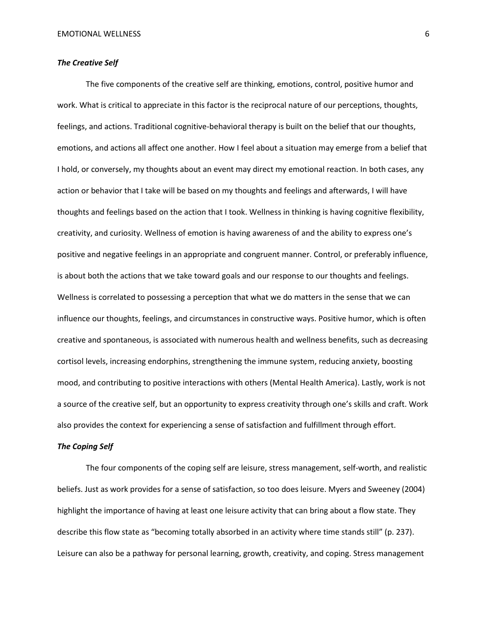## *The Creative Self*

The five components of the creative self are thinking, emotions, control, positive humor and work. What is critical to appreciate in this factor is the reciprocal nature of our perceptions, thoughts, feelings, and actions. Traditional cognitive-behavioral therapy is built on the belief that our thoughts, emotions, and actions all affect one another. How I feel about a situation may emerge from a belief that I hold, or conversely, my thoughts about an event may direct my emotional reaction. In both cases, any action or behavior that I take will be based on my thoughts and feelings and afterwards, I will have thoughts and feelings based on the action that I took. Wellness in thinking is having cognitive flexibility, creativity, and curiosity. Wellness of emotion is having awareness of and the ability to express one's positive and negative feelings in an appropriate and congruent manner. Control, or preferably influence, is about both the actions that we take toward goals and our response to our thoughts and feelings. Wellness is correlated to possessing a perception that what we do matters in the sense that we can influence our thoughts, feelings, and circumstances in constructive ways. Positive humor, which is often creative and spontaneous, is associated with numerous health and wellness benefits, such as decreasing cortisol levels, increasing endorphins, strengthening the immune system, reducing anxiety, boosting mood, and contributing to positive interactions with others (Mental Health America). Lastly, work is not a source of the creative self, but an opportunity to express creativity through one's skills and craft. Work also provides the context for experiencing a sense of satisfaction and fulfillment through effort.

#### *The Coping Self*

The four components of the coping self are leisure, stress management, self-worth, and realistic beliefs. Just as work provides for a sense of satisfaction, so too does leisure. Myers and Sweeney (2004) highlight the importance of having at least one leisure activity that can bring about a flow state. They describe this flow state as "becoming totally absorbed in an activity where time stands still" (p. 237). Leisure can also be a pathway for personal learning, growth, creativity, and coping. Stress management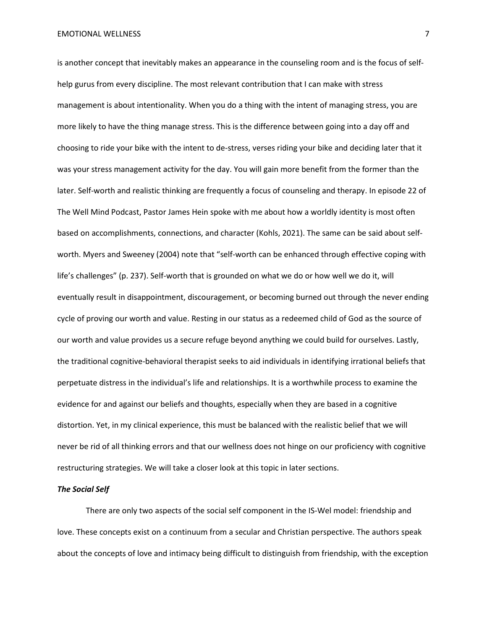EMOTIONAL WELLNESS 7

is another concept that inevitably makes an appearance in the counseling room and is the focus of selfhelp gurus from every discipline. The most relevant contribution that I can make with stress management is about intentionality. When you do a thing with the intent of managing stress, you are more likely to have the thing manage stress. This is the difference between going into a day off and choosing to ride your bike with the intent to de-stress, verses riding your bike and deciding later that it was your stress management activity for the day. You will gain more benefit from the former than the later. Self-worth and realistic thinking are frequently a focus of counseling and therapy. In episode 22 of The Well Mind Podcast, Pastor James Hein spoke with me about how a worldly identity is most often based on accomplishments, connections, and character (Kohls, 2021). The same can be said about selfworth. Myers and Sweeney (2004) note that "self-worth can be enhanced through effective coping with life's challenges" (p. 237). Self-worth that is grounded on what we do or how well we do it, will eventually result in disappointment, discouragement, or becoming burned out through the never ending cycle of proving our worth and value. Resting in our status as a redeemed child of God as the source of our worth and value provides us a secure refuge beyond anything we could build for ourselves. Lastly, the traditional cognitive-behavioral therapist seeks to aid individuals in identifying irrational beliefs that perpetuate distress in the individual's life and relationships. It is a worthwhile process to examine the evidence for and against our beliefs and thoughts, especially when they are based in a cognitive distortion. Yet, in my clinical experience, this must be balanced with the realistic belief that we will never be rid of all thinking errors and that our wellness does not hinge on our proficiency with cognitive restructuring strategies. We will take a closer look at this topic in later sections.

#### *The Social Self*

There are only two aspects of the social self component in the IS-Wel model: friendship and love. These concepts exist on a continuum from a secular and Christian perspective. The authors speak about the concepts of love and intimacy being difficult to distinguish from friendship, with the exception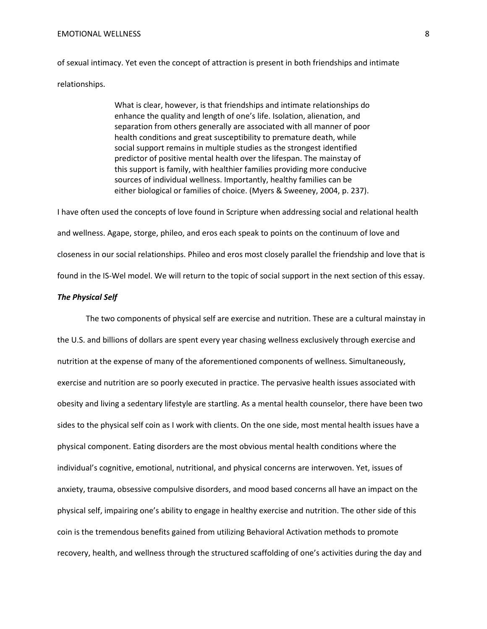#### EMOTIONAL WELLNESS 8

of sexual intimacy. Yet even the concept of attraction is present in both friendships and intimate relationships.

> What is clear, however, is that friendships and intimate relationships do enhance the quality and length of one's life. Isolation, alienation, and separation from others generally are associated with all manner of poor health conditions and great susceptibility to premature death, while social support remains in multiple studies as the strongest identified predictor of positive mental health over the lifespan. The mainstay of this support is family, with healthier families providing more conducive sources of individual wellness. Importantly, healthy families can be either biological or families of choice. (Myers & Sweeney, 2004, p. 237).

I have often used the concepts of love found in Scripture when addressing social and relational health and wellness. Agape, storge, phileo, and eros each speak to points on the continuum of love and closeness in our social relationships. Phileo and eros most closely parallel the friendship and love that is found in the IS-Wel model. We will return to the topic of social support in the next section of this essay.

## *The Physical Self*

The two components of physical self are exercise and nutrition. These are a cultural mainstay in the U.S. and billions of dollars are spent every year chasing wellness exclusively through exercise and nutrition at the expense of many of the aforementioned components of wellness. Simultaneously, exercise and nutrition are so poorly executed in practice. The pervasive health issues associated with obesity and living a sedentary lifestyle are startling. As a mental health counselor, there have been two sides to the physical self coin as I work with clients. On the one side, most mental health issues have a physical component. Eating disorders are the most obvious mental health conditions where the individual's cognitive, emotional, nutritional, and physical concerns are interwoven. Yet, issues of anxiety, trauma, obsessive compulsive disorders, and mood based concerns all have an impact on the physical self, impairing one's ability to engage in healthy exercise and nutrition. The other side of this coin is the tremendous benefits gained from utilizing Behavioral Activation methods to promote recovery, health, and wellness through the structured scaffolding of one's activities during the day and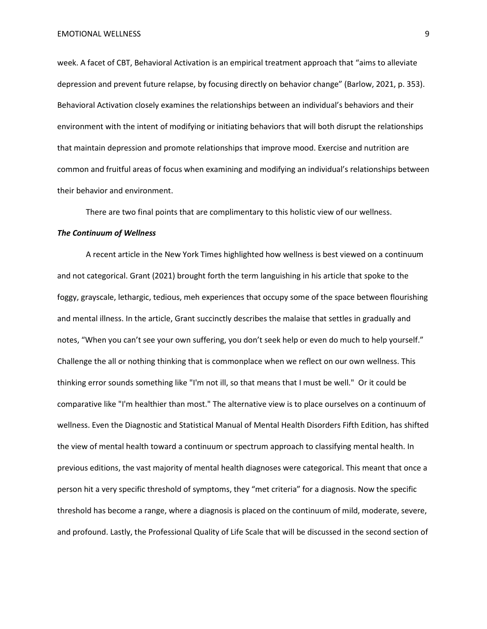week. A facet of CBT, Behavioral Activation is an empirical treatment approach that "aims to alleviate depression and prevent future relapse, by focusing directly on behavior change" (Barlow, 2021, p. 353). Behavioral Activation closely examines the relationships between an individual's behaviors and their environment with the intent of modifying or initiating behaviors that will both disrupt the relationships that maintain depression and promote relationships that improve mood. Exercise and nutrition are common and fruitful areas of focus when examining and modifying an individual's relationships between their behavior and environment.

There are two final points that are complimentary to this holistic view of our wellness.

#### *The Continuum of Wellness*

A recent article in the New York Times highlighted how wellness is best viewed on a continuum and not categorical. Grant (2021) brought forth the term languishing in his article that spoke to the foggy, grayscale, lethargic, tedious, meh experiences that occupy some of the space between flourishing and mental illness. In the article, Grant succinctly describes the malaise that settles in gradually and notes, "When you can't see your own suffering, you don't seek help or even do much to help yourself." Challenge the all or nothing thinking that is commonplace when we reflect on our own wellness. This thinking error sounds something like "I'm not ill, so that means that I must be well." Or it could be comparative like "I'm healthier than most." The alternative view is to place ourselves on a continuum of wellness. Even the Diagnostic and Statistical Manual of Mental Health Disorders Fifth Edition, has shifted the view of mental health toward a continuum or spectrum approach to classifying mental health. In previous editions, the vast majority of mental health diagnoses were categorical. This meant that once a person hit a very specific threshold of symptoms, they "met criteria" for a diagnosis. Now the specific threshold has become a range, where a diagnosis is placed on the continuum of mild, moderate, severe, and profound. Lastly, the Professional Quality of Life Scale that will be discussed in the second section of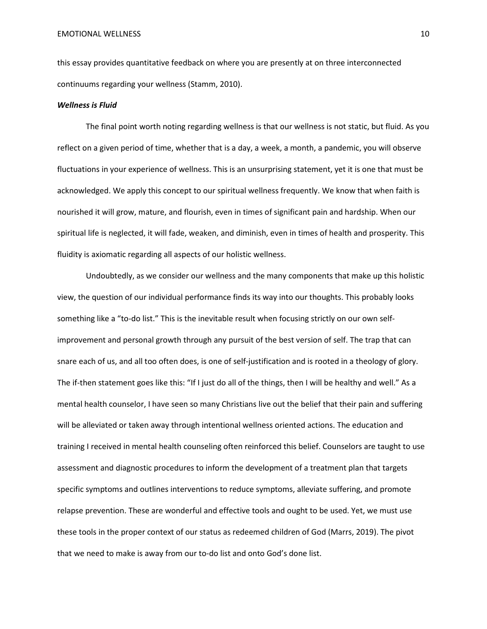this essay provides quantitative feedback on where you are presently at on three interconnected continuums regarding your wellness (Stamm, 2010).

## *Wellness is Fluid*

The final point worth noting regarding wellness is that our wellness is not static, but fluid. As you reflect on a given period of time, whether that is a day, a week, a month, a pandemic, you will observe fluctuations in your experience of wellness. This is an unsurprising statement, yet it is one that must be acknowledged. We apply this concept to our spiritual wellness frequently. We know that when faith is nourished it will grow, mature, and flourish, even in times of significant pain and hardship. When our spiritual life is neglected, it will fade, weaken, and diminish, even in times of health and prosperity. This fluidity is axiomatic regarding all aspects of our holistic wellness.

Undoubtedly, as we consider our wellness and the many components that make up this holistic view, the question of our individual performance finds its way into our thoughts. This probably looks something like a "to-do list." This is the inevitable result when focusing strictly on our own selfimprovement and personal growth through any pursuit of the best version of self. The trap that can snare each of us, and all too often does, is one of self-justification and is rooted in a theology of glory. The if-then statement goes like this: "If I just do all of the things, then I will be healthy and well." As a mental health counselor, I have seen so many Christians live out the belief that their pain and suffering will be alleviated or taken away through intentional wellness oriented actions. The education and training I received in mental health counseling often reinforced this belief. Counselors are taught to use assessment and diagnostic procedures to inform the development of a treatment plan that targets specific symptoms and outlines interventions to reduce symptoms, alleviate suffering, and promote relapse prevention. These are wonderful and effective tools and ought to be used. Yet, we must use these tools in the proper context of our status as redeemed children of God (Marrs, 2019). The pivot that we need to make is away from our to-do list and onto God's done list.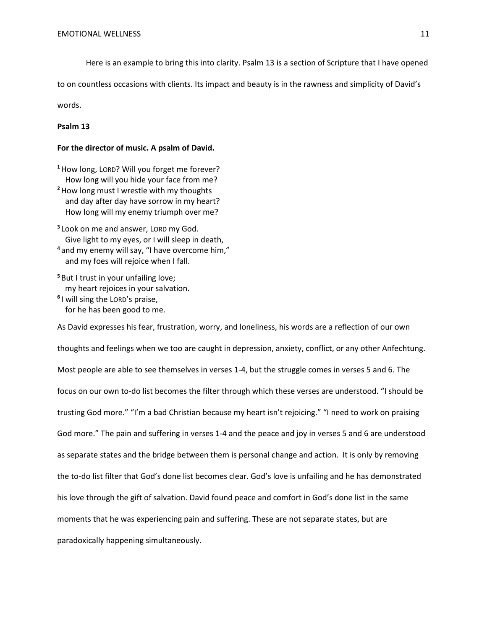Here is an example to bring this into clarity. Psalm 13 is a section of Scripture that I have opened

to on countless occasions with clients. Its impact and beauty is in the rawness and simplicity of David's

words.

## **Psalm 13**

#### **For the director of music. A psalm of David.**

**<sup>1</sup>**How long, LORD? Will you forget me forever? How long will you hide your face from me? **<sup>2</sup>**How long must I wrestle with my thoughts and day after day have sorrow in my heart?

- How long will my enemy triumph over me?
- **<sup>3</sup>** Look on me and answer, LORD my God. Give light to my eyes, or I will sleep in death,
- **<sup>4</sup>** and my enemy will say, "I have overcome him," and my foes will rejoice when I fall.
- **<sup>5</sup>** But I trust in your unfailing love; my heart rejoices in your salvation.
- **<sup>6</sup>** I will sing the LORD's praise, for he has been good to me.

As David expresses his fear, frustration, worry, and loneliness, his words are a reflection of our own thoughts and feelings when we too are caught in depression, anxiety, conflict, or any other Anfechtung. Most people are able to see themselves in verses 1-4, but the struggle comes in verses 5 and 6. The focus on our own to-do list becomes the filter through which these verses are understood. "I should be trusting God more." "I'm a bad Christian because my heart isn't rejoicing." "I need to work on praising God more." The pain and suffering in verses 1-4 and the peace and joy in verses 5 and 6 are understood as separate states and the bridge between them is personal change and action. It is only by removing the to-do list filter that God's done list becomes clear. God's love is unfailing and he has demonstrated his love through the gift of salvation. David found peace and comfort in God's done list in the same moments that he was experiencing pain and suffering. These are not separate states, but are paradoxically happening simultaneously.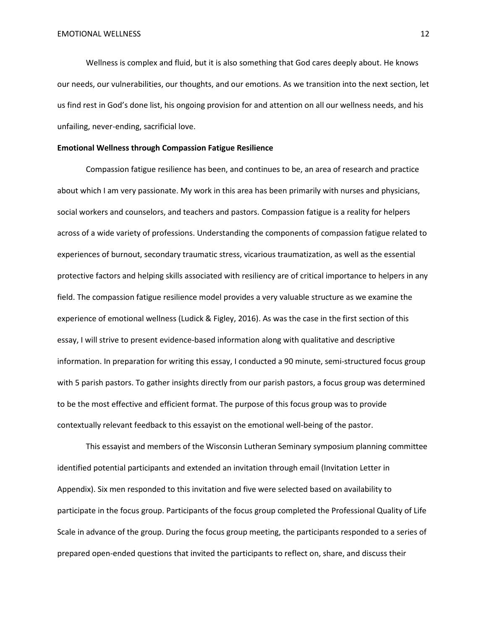Wellness is complex and fluid, but it is also something that God cares deeply about. He knows our needs, our vulnerabilities, our thoughts, and our emotions. As we transition into the next section, let us find rest in God's done list, his ongoing provision for and attention on all our wellness needs, and his unfailing, never-ending, sacrificial love.

#### **Emotional Wellness through Compassion Fatigue Resilience**

Compassion fatigue resilience has been, and continues to be, an area of research and practice about which I am very passionate. My work in this area has been primarily with nurses and physicians, social workers and counselors, and teachers and pastors. Compassion fatigue is a reality for helpers across of a wide variety of professions. Understanding the components of compassion fatigue related to experiences of burnout, secondary traumatic stress, vicarious traumatization, as well as the essential protective factors and helping skills associated with resiliency are of critical importance to helpers in any field. The compassion fatigue resilience model provides a very valuable structure as we examine the experience of emotional wellness (Ludick & Figley, 2016). As was the case in the first section of this essay, I will strive to present evidence-based information along with qualitative and descriptive information. In preparation for writing this essay, I conducted a 90 minute, semi-structured focus group with 5 parish pastors. To gather insights directly from our parish pastors, a focus group was determined to be the most effective and efficient format. The purpose of this focus group was to provide contextually relevant feedback to this essayist on the emotional well-being of the pastor.

This essayist and members of the Wisconsin Lutheran Seminary symposium planning committee identified potential participants and extended an invitation through email (Invitation Letter in Appendix). Six men responded to this invitation and five were selected based on availability to participate in the focus group. Participants of the focus group completed the Professional Quality of Life Scale in advance of the group. During the focus group meeting, the participants responded to a series of prepared open-ended questions that invited the participants to reflect on, share, and discuss their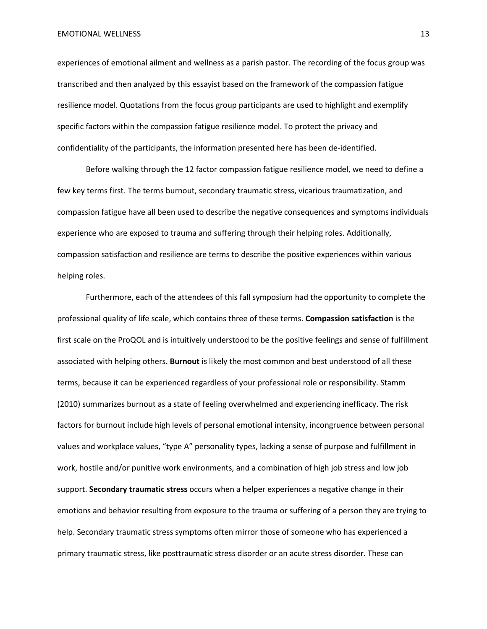EMOTIONAL WELLNESS 13

experiences of emotional ailment and wellness as a parish pastor. The recording of the focus group was transcribed and then analyzed by this essayist based on the framework of the compassion fatigue resilience model. Quotations from the focus group participants are used to highlight and exemplify specific factors within the compassion fatigue resilience model. To protect the privacy and confidentiality of the participants, the information presented here has been de-identified.

Before walking through the 12 factor compassion fatigue resilience model, we need to define a few key terms first. The terms burnout, secondary traumatic stress, vicarious traumatization, and compassion fatigue have all been used to describe the negative consequences and symptoms individuals experience who are exposed to trauma and suffering through their helping roles. Additionally, compassion satisfaction and resilience are terms to describe the positive experiences within various helping roles.

Furthermore, each of the attendees of this fall symposium had the opportunity to complete the professional quality of life scale, which contains three of these terms. **Compassion satisfaction** is the first scale on the ProQOL and is intuitively understood to be the positive feelings and sense of fulfillment associated with helping others. **Burnout** is likely the most common and best understood of all these terms, because it can be experienced regardless of your professional role or responsibility. Stamm (2010) summarizes burnout as a state of feeling overwhelmed and experiencing inefficacy. The risk factors for burnout include high levels of personal emotional intensity, incongruence between personal values and workplace values, "type A" personality types, lacking a sense of purpose and fulfillment in work, hostile and/or punitive work environments, and a combination of high job stress and low job support. **Secondary traumatic stress** occurs when a helper experiences a negative change in their emotions and behavior resulting from exposure to the trauma or suffering of a person they are trying to help. Secondary traumatic stress symptoms often mirror those of someone who has experienced a primary traumatic stress, like posttraumatic stress disorder or an acute stress disorder. These can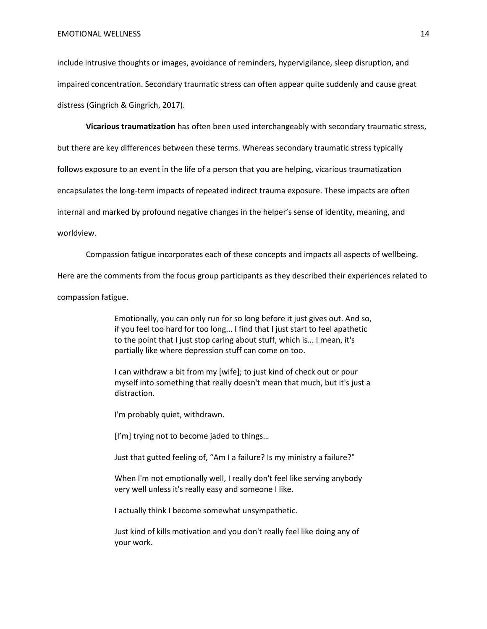include intrusive thoughts or images, avoidance of reminders, hypervigilance, sleep disruption, and impaired concentration. Secondary traumatic stress can often appear quite suddenly and cause great distress (Gingrich & Gingrich, 2017).

**Vicarious traumatization** has often been used interchangeably with secondary traumatic stress,

but there are key differences between these terms. Whereas secondary traumatic stress typically

follows exposure to an event in the life of a person that you are helping, vicarious traumatization

encapsulates the long-term impacts of repeated indirect trauma exposure. These impacts are often

internal and marked by profound negative changes in the helper's sense of identity, meaning, and

#### worldview.

Compassion fatigue incorporates each of these concepts and impacts all aspects of wellbeing.

Here are the comments from the focus group participants as they described their experiences related to

compassion fatigue.

Emotionally, you can only run for so long before it just gives out. And so, if you feel too hard for too long... I find that I just start to feel apathetic to the point that I just stop caring about stuff, which is... I mean, it's partially like where depression stuff can come on too.

I can withdraw a bit from my [wife]; to just kind of check out or pour myself into something that really doesn't mean that much, but it's just a distraction.

I'm probably quiet, withdrawn.

[I'm] trying not to become jaded to things...

Just that gutted feeling of, "Am I a failure? Is my ministry a failure?"

When I'm not emotionally well, I really don't feel like serving anybody very well unless it's really easy and someone I like.

I actually think I become somewhat unsympathetic.

Just kind of kills motivation and you don't really feel like doing any of your work.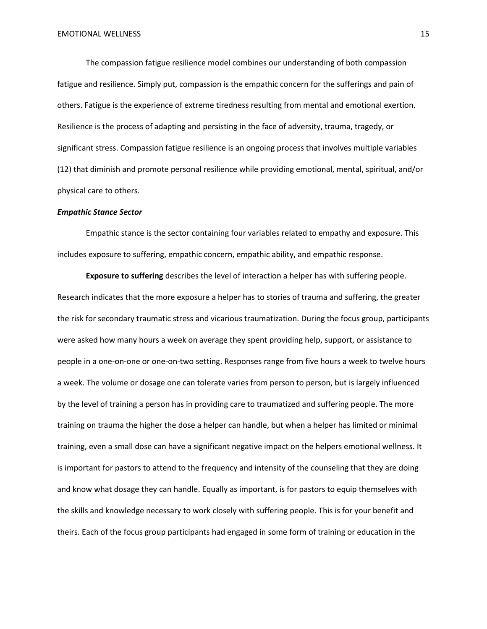The compassion fatigue resilience model combines our understanding of both compassion fatigue and resilience. Simply put, compassion is the empathic concern for the sufferings and pain of others. Fatigue is the experience of extreme tiredness resulting from mental and emotional exertion. Resilience is the process of adapting and persisting in the face of adversity, trauma, tragedy, or significant stress. Compassion fatigue resilience is an ongoing process that involves multiple variables (12) that diminish and promote personal resilience while providing emotional, mental, spiritual, and/or physical care to others.

#### *Empathic Stance Sector*

Empathic stance is the sector containing four variables related to empathy and exposure. This includes exposure to suffering, empathic concern, empathic ability, and empathic response.

**Exposure to suffering** describes the level of interaction a helper has with suffering people. Research indicates that the more exposure a helper has to stories of trauma and suffering, the greater the risk for secondary traumatic stress and vicarious traumatization. During the focus group, participants were asked how many hours a week on average they spent providing help, support, or assistance to people in a one-on-one or one-on-two setting. Responses range from five hours a week to twelve hours a week. The volume or dosage one can tolerate varies from person to person, but is largely influenced by the level of training a person has in providing care to traumatized and suffering people. The more training on trauma the higher the dose a helper can handle, but when a helper has limited or minimal training, even a small dose can have a significant negative impact on the helpers emotional wellness. It is important for pastors to attend to the frequency and intensity of the counseling that they are doing and know what dosage they can handle. Equally as important, is for pastors to equip themselves with the skills and knowledge necessary to work closely with suffering people. This is for your benefit and theirs. Each of the focus group participants had engaged in some form of training or education in the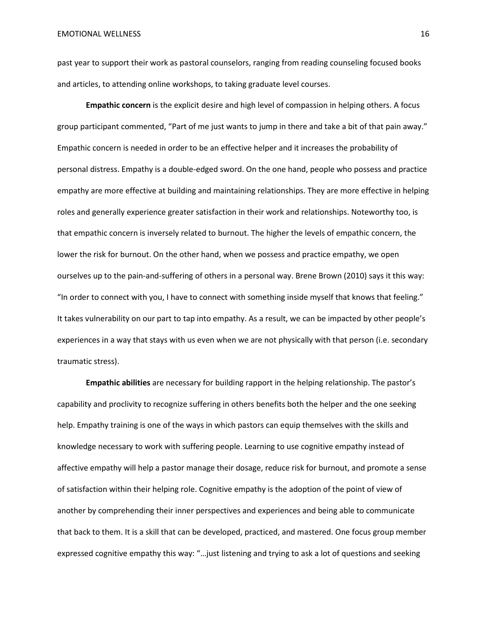past year to support their work as pastoral counselors, ranging from reading counseling focused books and articles, to attending online workshops, to taking graduate level courses.

**Empathic concern** is the explicit desire and high level of compassion in helping others. A focus group participant commented, "Part of me just wants to jump in there and take a bit of that pain away." Empathic concern is needed in order to be an effective helper and it increases the probability of personal distress. Empathy is a double-edged sword. On the one hand, people who possess and practice empathy are more effective at building and maintaining relationships. They are more effective in helping roles and generally experience greater satisfaction in their work and relationships. Noteworthy too, is that empathic concern is inversely related to burnout. The higher the levels of empathic concern, the lower the risk for burnout. On the other hand, when we possess and practice empathy, we open ourselves up to the pain-and-suffering of others in a personal way. Brene Brown (2010) says it this way: "In order to connect with you, I have to connect with something inside myself that knows that feeling." It takes vulnerability on our part to tap into empathy. As a result, we can be impacted by other people's experiences in a way that stays with us even when we are not physically with that person (i.e. secondary traumatic stress).

**Empathic abilities** are necessary for building rapport in the helping relationship. The pastor's capability and proclivity to recognize suffering in others benefits both the helper and the one seeking help. Empathy training is one of the ways in which pastors can equip themselves with the skills and knowledge necessary to work with suffering people. Learning to use cognitive empathy instead of affective empathy will help a pastor manage their dosage, reduce risk for burnout, and promote a sense of satisfaction within their helping role. Cognitive empathy is the adoption of the point of view of another by comprehending their inner perspectives and experiences and being able to communicate that back to them. It is a skill that can be developed, practiced, and mastered. One focus group member expressed cognitive empathy this way: "…just listening and trying to ask a lot of questions and seeking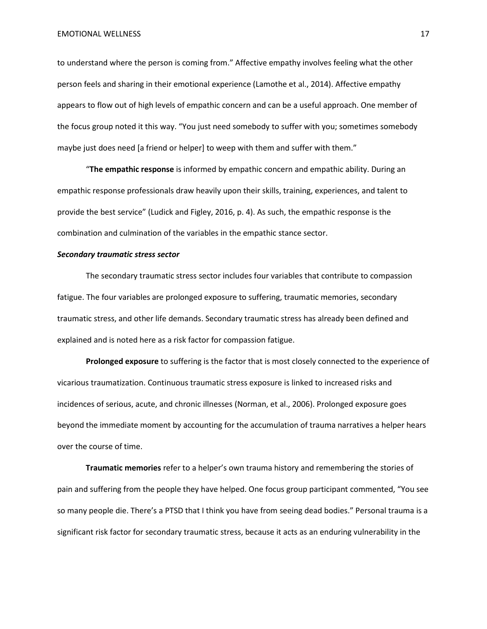to understand where the person is coming from." Affective empathy involves feeling what the other person feels and sharing in their emotional experience (Lamothe et al., 2014). Affective empathy appears to flow out of high levels of empathic concern and can be a useful approach. One member of the focus group noted it this way. "You just need somebody to suffer with you; sometimes somebody maybe just does need [a friend or helper] to weep with them and suffer with them."

"**The empathic response** is informed by empathic concern and empathic ability. During an empathic response professionals draw heavily upon their skills, training, experiences, and talent to provide the best service" (Ludick and Figley, 2016, p. 4). As such, the empathic response is the combination and culmination of the variables in the empathic stance sector.

#### *Secondary traumatic stress sector*

The secondary traumatic stress sector includes four variables that contribute to compassion fatigue. The four variables are prolonged exposure to suffering, traumatic memories, secondary traumatic stress, and other life demands. Secondary traumatic stress has already been defined and explained and is noted here as a risk factor for compassion fatigue.

**Prolonged exposure** to suffering is the factor that is most closely connected to the experience of vicarious traumatization. Continuous traumatic stress exposure is linked to increased risks and incidences of serious, acute, and chronic illnesses (Norman, et al., 2006). Prolonged exposure goes beyond the immediate moment by accounting for the accumulation of trauma narratives a helper hears over the course of time.

**Traumatic memories** refer to a helper's own trauma history and remembering the stories of pain and suffering from the people they have helped. One focus group participant commented, "You see so many people die. There's a PTSD that I think you have from seeing dead bodies." Personal trauma is a significant risk factor for secondary traumatic stress, because it acts as an enduring vulnerability in the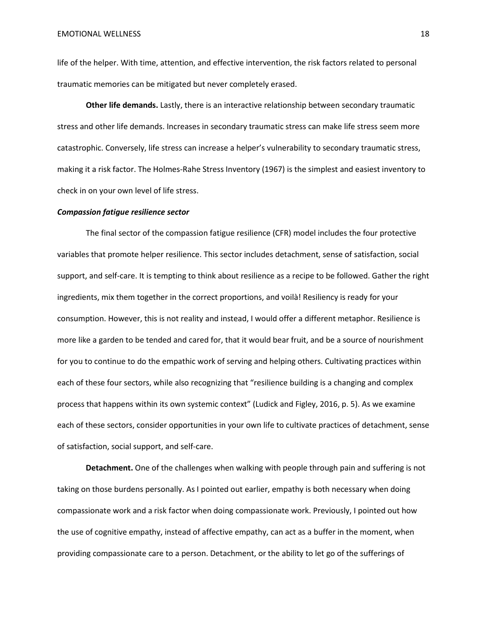life of the helper. With time, attention, and effective intervention, the risk factors related to personal traumatic memories can be mitigated but never completely erased.

**Other life demands.** Lastly, there is an interactive relationship between secondary traumatic stress and other life demands. Increases in secondary traumatic stress can make life stress seem more catastrophic. Conversely, life stress can increase a helper's vulnerability to secondary traumatic stress, making it a risk factor. The Holmes-Rahe Stress Inventory (1967) is the simplest and easiest inventory to check in on your own level of life stress.

#### *Compassion fatigue resilience sector*

The final sector of the compassion fatigue resilience (CFR) model includes the four protective variables that promote helper resilience. This sector includes detachment, sense of satisfaction, social support, and self-care. It is tempting to think about resilience as a recipe to be followed. Gather the right ingredients, mix them together in the correct proportions, and voilà! Resiliency is ready for your consumption. However, this is not reality and instead, I would offer a different metaphor. Resilience is more like a garden to be tended and cared for, that it would bear fruit, and be a source of nourishment for you to continue to do the empathic work of serving and helping others. Cultivating practices within each of these four sectors, while also recognizing that "resilience building is a changing and complex process that happens within its own systemic context" (Ludick and Figley, 2016, p. 5). As we examine each of these sectors, consider opportunities in your own life to cultivate practices of detachment, sense of satisfaction, social support, and self-care.

**Detachment.** One of the challenges when walking with people through pain and suffering is not taking on those burdens personally. As I pointed out earlier, empathy is both necessary when doing compassionate work and a risk factor when doing compassionate work. Previously, I pointed out how the use of cognitive empathy, instead of affective empathy, can act as a buffer in the moment, when providing compassionate care to a person. Detachment, or the ability to let go of the sufferings of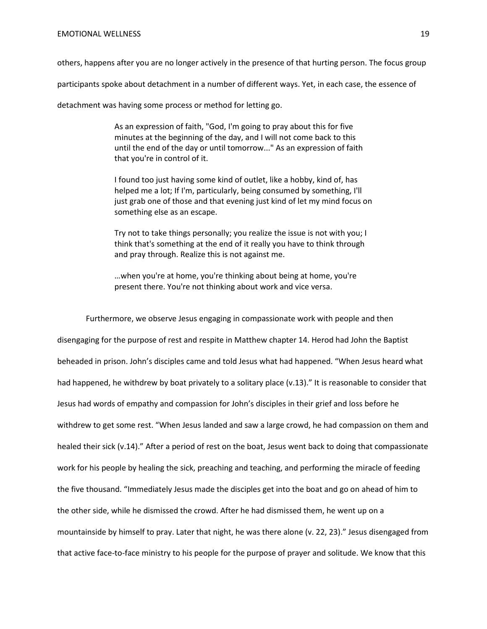others, happens after you are no longer actively in the presence of that hurting person. The focus group

participants spoke about detachment in a number of different ways. Yet, in each case, the essence of

detachment was having some process or method for letting go.

As an expression of faith, "God, I'm going to pray about this for five minutes at the beginning of the day, and I will not come back to this until the end of the day or until tomorrow..." As an expression of faith that you're in control of it.

I found too just having some kind of outlet, like a hobby, kind of, has helped me a lot; If I'm, particularly, being consumed by something, I'll just grab one of those and that evening just kind of let my mind focus on something else as an escape.

Try not to take things personally; you realize the issue is not with you; I think that's something at the end of it really you have to think through and pray through. Realize this is not against me.

…when you're at home, you're thinking about being at home, you're present there. You're not thinking about work and vice versa.

Furthermore, we observe Jesus engaging in compassionate work with people and then disengaging for the purpose of rest and respite in Matthew chapter 14. Herod had John the Baptist beheaded in prison. John's disciples came and told Jesus what had happened. "When Jesus heard what had happened, he withdrew by boat privately to a solitary place (v.13)." It is reasonable to consider that Jesus had words of empathy and compassion for John's disciples in their grief and loss before he withdrew to get some rest. "When Jesus landed and saw a large crowd, he had compassion on them and healed their sick (v.14)." After a period of rest on the boat, Jesus went back to doing that compassionate work for his people by healing the sick, preaching and teaching, and performing the miracle of feeding the five thousand. "Immediately Jesus made the disciples get into the boat and go on ahead of him to the other side, while he dismissed the crowd. After he had dismissed them, he went up on a mountainside by himself to pray. Later that night, he was there alone (v. 22, 23)." Jesus disengaged from that active face-to-face ministry to his people for the purpose of prayer and solitude. We know that this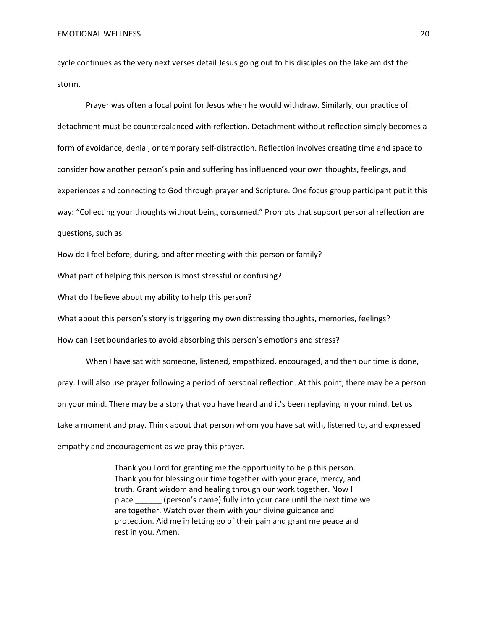#### EMOTIONAL WELLNESS 20

cycle continues as the very next verses detail Jesus going out to his disciples on the lake amidst the storm.

Prayer was often a focal point for Jesus when he would withdraw. Similarly, our practice of detachment must be counterbalanced with reflection. Detachment without reflection simply becomes a form of avoidance, denial, or temporary self-distraction. Reflection involves creating time and space to consider how another person's pain and suffering has influenced your own thoughts, feelings, and experiences and connecting to God through prayer and Scripture. One focus group participant put it this way: "Collecting your thoughts without being consumed." Prompts that support personal reflection are questions, such as:

How do I feel before, during, and after meeting with this person or family?

What part of helping this person is most stressful or confusing?

What do I believe about my ability to help this person?

What about this person's story is triggering my own distressing thoughts, memories, feelings?

How can I set boundaries to avoid absorbing this person's emotions and stress?

When I have sat with someone, listened, empathized, encouraged, and then our time is done, I pray. I will also use prayer following a period of personal reflection. At this point, there may be a person on your mind. There may be a story that you have heard and it's been replaying in your mind. Let us take a moment and pray. Think about that person whom you have sat with, listened to, and expressed empathy and encouragement as we pray this prayer.

> Thank you Lord for granting me the opportunity to help this person. Thank you for blessing our time together with your grace, mercy, and truth. Grant wisdom and healing through our work together. Now I place \_\_\_\_\_\_ (person's name) fully into your care until the next time we are together. Watch over them with your divine guidance and protection. Aid me in letting go of their pain and grant me peace and rest in you. Amen.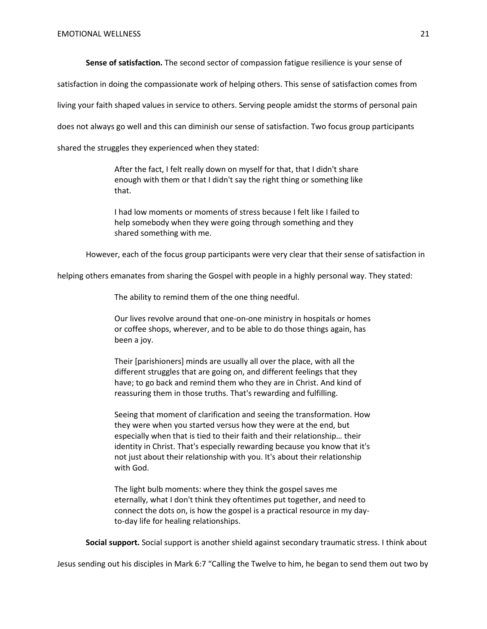**Sense of satisfaction.** The second sector of compassion fatigue resilience is your sense of

satisfaction in doing the compassionate work of helping others. This sense of satisfaction comes from

living your faith shaped values in service to others. Serving people amidst the storms of personal pain

does not always go well and this can diminish our sense of satisfaction. Two focus group participants

shared the struggles they experienced when they stated:

After the fact, I felt really down on myself for that, that I didn't share enough with them or that I didn't say the right thing or something like that.

I had low moments or moments of stress because I felt like I failed to help somebody when they were going through something and they shared something with me.

However, each of the focus group participants were very clear that their sense of satisfaction in

helping others emanates from sharing the Gospel with people in a highly personal way. They stated:

The ability to remind them of the one thing needful.

Our lives revolve around that one-on-one ministry in hospitals or homes or coffee shops, wherever, and to be able to do those things again, has been a joy.

Their [parishioners] minds are usually all over the place, with all the different struggles that are going on, and different feelings that they have; to go back and remind them who they are in Christ. And kind of reassuring them in those truths. That's rewarding and fulfilling.

Seeing that moment of clarification and seeing the transformation. How they were when you started versus how they were at the end, but especially when that is tied to their faith and their relationship… their identity in Christ. That's especially rewarding because you know that it's not just about their relationship with you. It's about their relationship with God.

The light bulb moments: where they think the gospel saves me eternally, what I don't think they oftentimes put together, and need to connect the dots on, is how the gospel is a practical resource in my dayto-day life for healing relationships.

**Social support.** Social support is another shield against secondary traumatic stress. I think about

Jesus sending out his disciples in Mark 6:7 "Calling the Twelve to him, he began to send them out two by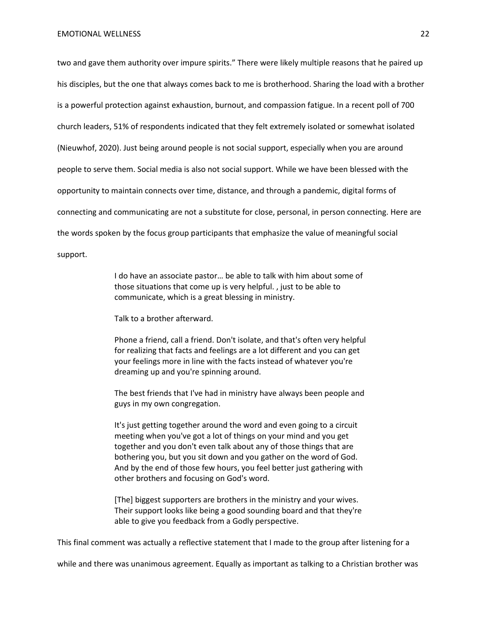two and gave them authority over impure spirits." There were likely multiple reasons that he paired up his disciples, but the one that always comes back to me is brotherhood. Sharing the load with a brother is a powerful protection against exhaustion, burnout, and compassion fatigue. In a recent poll of 700 church leaders, 51% of respondents indicated that they felt extremely isolated or somewhat isolated (Nieuwhof, 2020). Just being around people is not social support, especially when you are around people to serve them. Social media is also not social support. While we have been blessed with the opportunity to maintain connects over time, distance, and through a pandemic, digital forms of connecting and communicating are not a substitute for close, personal, in person connecting. Here are the words spoken by the focus group participants that emphasize the value of meaningful social support.

> I do have an associate pastor… be able to talk with him about some of those situations that come up is very helpful. , just to be able to communicate, which is a great blessing in ministry.

Talk to a brother afterward.

Phone a friend, call a friend. Don't isolate, and that's often very helpful for realizing that facts and feelings are a lot different and you can get your feelings more in line with the facts instead of whatever you're dreaming up and you're spinning around.

The best friends that I've had in ministry have always been people and guys in my own congregation.

It's just getting together around the word and even going to a circuit meeting when you've got a lot of things on your mind and you get together and you don't even talk about any of those things that are bothering you, but you sit down and you gather on the word of God. And by the end of those few hours, you feel better just gathering with other brothers and focusing on God's word.

[The] biggest supporters are brothers in the ministry and your wives. Their support looks like being a good sounding board and that they're able to give you feedback from a Godly perspective.

This final comment was actually a reflective statement that I made to the group after listening for a

while and there was unanimous agreement. Equally as important as talking to a Christian brother was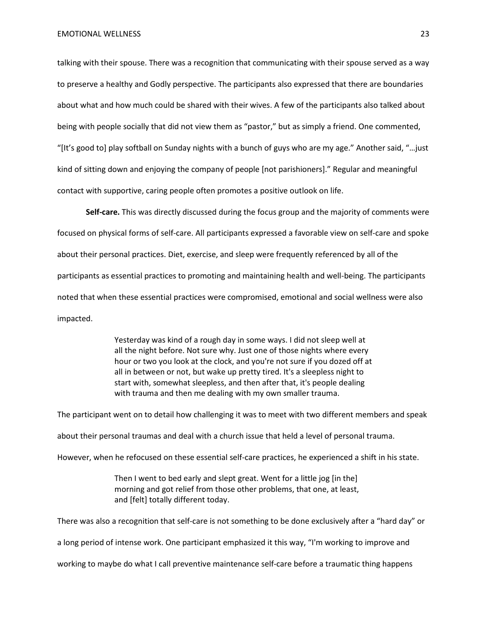talking with their spouse. There was a recognition that communicating with their spouse served as a way to preserve a healthy and Godly perspective. The participants also expressed that there are boundaries about what and how much could be shared with their wives. A few of the participants also talked about being with people socially that did not view them as "pastor," but as simply a friend. One commented, "[It's good to] play softball on Sunday nights with a bunch of guys who are my age." Another said, "…just kind of sitting down and enjoying the company of people [not parishioners]." Regular and meaningful contact with supportive, caring people often promotes a positive outlook on life.

**Self-care.** This was directly discussed during the focus group and the majority of comments were focused on physical forms of self-care. All participants expressed a favorable view on self-care and spoke about their personal practices. Diet, exercise, and sleep were frequently referenced by all of the participants as essential practices to promoting and maintaining health and well-being. The participants noted that when these essential practices were compromised, emotional and social wellness were also impacted.

> Yesterday was kind of a rough day in some ways. I did not sleep well at all the night before. Not sure why. Just one of those nights where every hour or two you look at the clock, and you're not sure if you dozed off at all in between or not, but wake up pretty tired. It's a sleepless night to start with, somewhat sleepless, and then after that, it's people dealing with trauma and then me dealing with my own smaller trauma.

The participant went on to detail how challenging it was to meet with two different members and speak about their personal traumas and deal with a church issue that held a level of personal trauma. However, when he refocused on these essential self-care practices, he experienced a shift in his state.

> Then I went to bed early and slept great. Went for a little jog [in the] morning and got relief from those other problems, that one, at least, and [felt] totally different today.

There was also a recognition that self-care is not something to be done exclusively after a "hard day" or

a long period of intense work. One participant emphasized it this way, "I'm working to improve and

working to maybe do what I call preventive maintenance self-care before a traumatic thing happens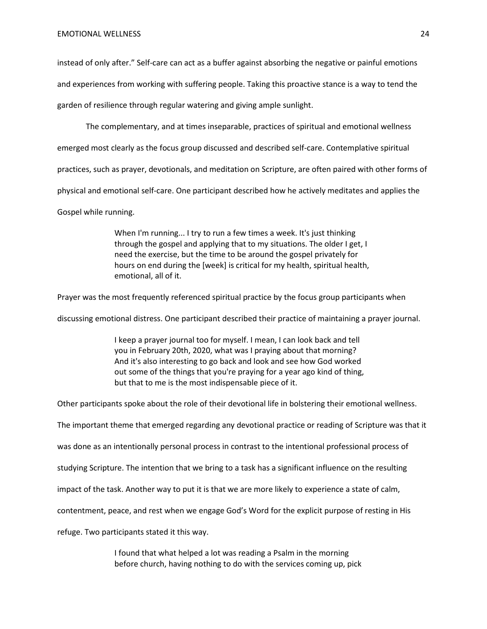instead of only after." Self-care can act as a buffer against absorbing the negative or painful emotions and experiences from working with suffering people. Taking this proactive stance is a way to tend the garden of resilience through regular watering and giving ample sunlight.

The complementary, and at times inseparable, practices of spiritual and emotional wellness

emerged most clearly as the focus group discussed and described self-care. Contemplative spiritual

practices, such as prayer, devotionals, and meditation on Scripture, are often paired with other forms of

physical and emotional self-care. One participant described how he actively meditates and applies the

Gospel while running.

When I'm running... I try to run a few times a week. It's just thinking through the gospel and applying that to my situations. The older I get, I need the exercise, but the time to be around the gospel privately for hours on end during the [week] is critical for my health, spiritual health, emotional, all of it.

Prayer was the most frequently referenced spiritual practice by the focus group participants when

discussing emotional distress. One participant described their practice of maintaining a prayer journal.

I keep a prayer journal too for myself. I mean, I can look back and tell you in February 20th, 2020, what was I praying about that morning? And it's also interesting to go back and look and see how God worked out some of the things that you're praying for a year ago kind of thing, but that to me is the most indispensable piece of it.

Other participants spoke about the role of their devotional life in bolstering their emotional wellness.

The important theme that emerged regarding any devotional practice or reading of Scripture was that it

was done as an intentionally personal process in contrast to the intentional professional process of

studying Scripture. The intention that we bring to a task has a significant influence on the resulting

impact of the task. Another way to put it is that we are more likely to experience a state of calm,

contentment, peace, and rest when we engage God's Word for the explicit purpose of resting in His

refuge. Two participants stated it this way.

I found that what helped a lot was reading a Psalm in the morning before church, having nothing to do with the services coming up, pick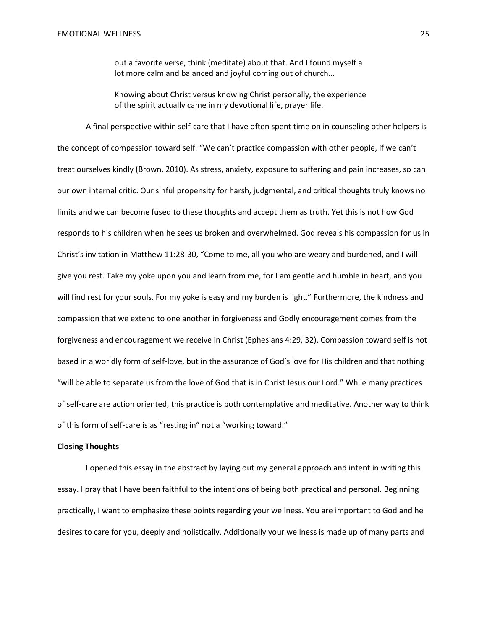out a favorite verse, think (meditate) about that. And I found myself a lot more calm and balanced and joyful coming out of church...

Knowing about Christ versus knowing Christ personally, the experience of the spirit actually came in my devotional life, prayer life.

A final perspective within self-care that I have often spent time on in counseling other helpers is the concept of compassion toward self. "We can't practice compassion with other people, if we can't treat ourselves kindly (Brown, 2010). As stress, anxiety, exposure to suffering and pain increases, so can our own internal critic. Our sinful propensity for harsh, judgmental, and critical thoughts truly knows no limits and we can become fused to these thoughts and accept them as truth. Yet this is not how God responds to his children when he sees us broken and overwhelmed. God reveals his compassion for us in Christ's invitation in Matthew 11:28-30, "Come to me, all you who are weary and burdened, and I will give you rest. Take my yoke upon you and learn from me, for I am gentle and humble in heart, and you will find rest for your souls. For my yoke is easy and my burden is light." Furthermore, the kindness and compassion that we extend to one another in forgiveness and Godly encouragement comes from the forgiveness and encouragement we receive in Christ (Ephesians 4:29, 32). Compassion toward self is not based in a worldly form of self-love, but in the assurance of God's love for His children and that nothing "will be able to separate us from the love of God that is in Christ Jesus our Lord." While many practices of self-care are action oriented, this practice is both contemplative and meditative. Another way to think of this form of self-care is as "resting in" not a "working toward."

#### **Closing Thoughts**

I opened this essay in the abstract by laying out my general approach and intent in writing this essay. I pray that I have been faithful to the intentions of being both practical and personal. Beginning practically, I want to emphasize these points regarding your wellness. You are important to God and he desires to care for you, deeply and holistically. Additionally your wellness is made up of many parts and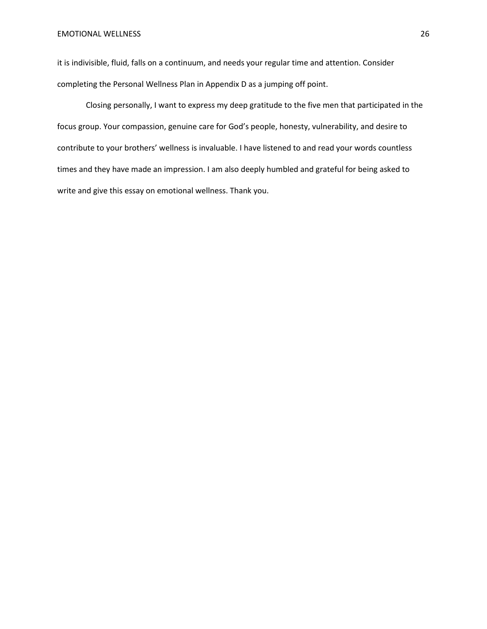#### EMOTIONAL WELLNESS 26

it is indivisible, fluid, falls on a continuum, and needs your regular time and attention. Consider completing the Personal Wellness Plan in Appendix D as a jumping off point.

Closing personally, I want to express my deep gratitude to the five men that participated in the focus group. Your compassion, genuine care for God's people, honesty, vulnerability, and desire to contribute to your brothers' wellness is invaluable. I have listened to and read your words countless times and they have made an impression. I am also deeply humbled and grateful for being asked to write and give this essay on emotional wellness. Thank you.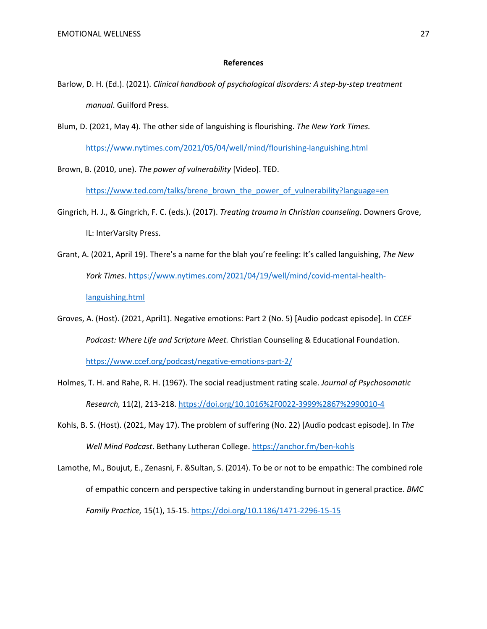#### **References**

- Barlow, D. H. (Ed.). (2021). *Clinical handbook of psychological disorders: A step-by-step treatment manual*. Guilford Press.
- Blum, D. (2021, May 4). The other side of languishing is flourishing. *The New York Times.*

<https://www.nytimes.com/2021/05/04/well/mind/flourishing-languishing.html>

Brown, B. (2010, une). *The power of vulnerability* [Video]. TED.

[https://www.ted.com/talks/brene\\_brown\\_the\\_power\\_of\\_vulnerability?language=en](https://www.ted.com/talks/brene_brown_the_power_of_vulnerability?language=en)

- Gingrich, H. J., & Gingrich, F. C. (eds.). (2017). *Treating trauma in Christian counseling*. Downers Grove, IL: InterVarsity Press.
- Grant, A. (2021, April 19). There's a name for the blah you're feeling: It's called languishing, *The New York Times*[. https://www.nytimes.com/2021/04/19/well/mind/covid-mental-health](https://www.nytimes.com/2021/04/19/well/mind/covid-mental-health-languishing.html)[languishing.html](https://www.nytimes.com/2021/04/19/well/mind/covid-mental-health-languishing.html)
- Groves, A. (Host). (2021, April1). Negative emotions: Part 2 (No. 5) [Audio podcast episode]. In *CCEF Podcast: Where Life and Scripture Meet.* Christian Counseling & Educational Foundation. <https://www.ccef.org/podcast/negative-emotions-part-2/>
- Holmes, T. H. and Rahe, R. H. (1967). The social readjustment rating scale. *Journal of Psychosomatic Research,* 11(2), 213-218[. https://doi.org/10.1016%2F0022-3999%2867%2990010-4](https://doi.org/10.1016%2F0022-3999%2867%2990010-4)
- Kohls, B. S. (Host). (2021, May 17). The problem of suffering (No. 22) [Audio podcast episode]. In *The Well Mind Podcast*. Bethany Lutheran College.<https://anchor.fm/ben-kohls>
- Lamothe, M., Boujut, E., Zenasni, F. &Sultan, S. (2014). To be or not to be empathic: The combined role of empathic concern and perspective taking in understanding burnout in general practice. *BMC Family Practice,* 15(1), 15-15.<https://doi.org/10.1186/1471-2296-15-15>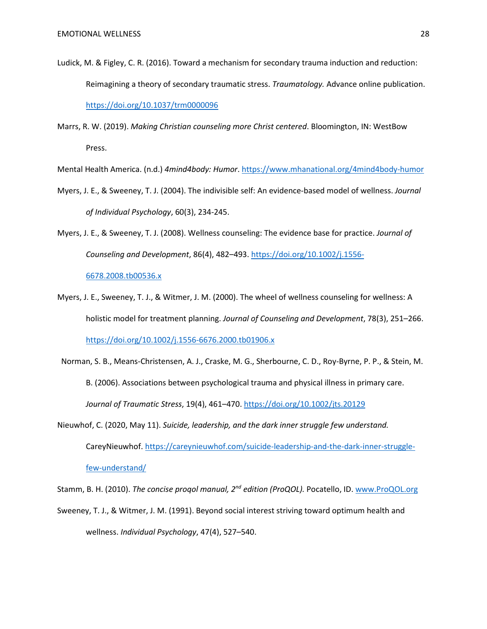- Ludick, M. & Figley, C. R. (2016). Toward a mechanism for secondary trauma induction and reduction: Reimagining a theory of secondary traumatic stress. *Traumatology.* Advance online publication. [https://doi.org/10.1037/trm0000096](https://psycnet.apa.org/doi/10.1037/trm0000096)
- Marrs, R. W. (2019). *Making Christian counseling more Christ centered*. Bloomington, IN: WestBow Press.

Mental Health America. (n.d.) *4mind4body: Humor*.<https://www.mhanational.org/4mind4body-humor>

- Myers, J. E., & Sweeney, T. J. (2004). The indivisible self: An evidence-based model of wellness. *Journal of Individual Psychology*, 60(3), 234-245.
- Myers, J. E., & Sweeney, T. J. (2008). Wellness counseling: The evidence base for practice. *Journal of Counseling and Development*, 86(4), 482–493. [https://doi.org/10.1002/j.1556-](https://doi.org/10.1002/j.1556-6678.2008.tb00536.x)

[6678.2008.tb00536.x](https://doi.org/10.1002/j.1556-6678.2008.tb00536.x)

- Myers, J. E., Sweeney, T. J., & Witmer, J. M. (2000). The wheel of wellness counseling for wellness: A holistic model for treatment planning. *Journal of Counseling and Development*, 78(3), 251–266. <https://doi.org/10.1002/j.1556-6676.2000.tb01906.x>
- Norman, S. B., Means-Christensen, A. J., Craske, M. G., Sherbourne, C. D., Roy-Byrne, P. P., & Stein, M. B. (2006). Associations between psychological trauma and physical illness in primary care. *Journal of Traumatic Stress*, 19(4), 461–470.<https://doi.org/10.1002/jts.20129>
- Nieuwhof, C. (2020, May 11). *Suicide, leadership, and the dark inner struggle few understand.* CareyNieuwhof[. https://careynieuwhof.com/suicide-leadership-and-the-dark-inner-struggle](https://careynieuwhof.com/suicide-leadership-and-the-dark-inner-struggle-few-understand/)[few-understand/](https://careynieuwhof.com/suicide-leadership-and-the-dark-inner-struggle-few-understand/)

Stamm, B. H. (2010). *The concise proqol manual, 2nd edition (ProQOL).* Pocatello, ID. [www.ProQOL.org](http://www.proqol.org/)

Sweeney, T. J., & Witmer, J. M. (1991). Beyond social interest striving toward optimum health and wellness. *Individual Psychology*, 47(4), 527–540.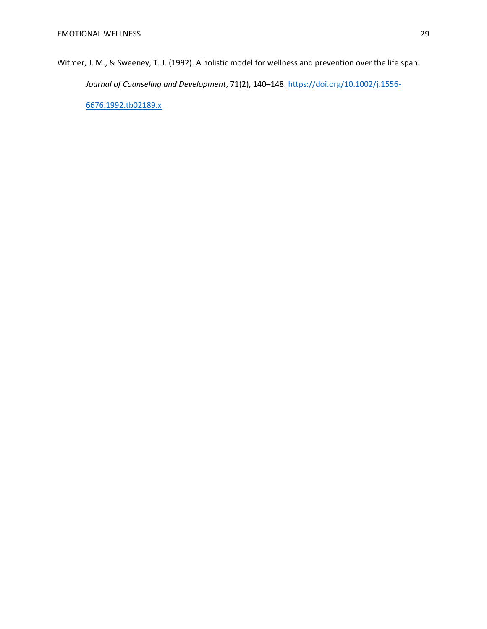Witmer, J. M., & Sweeney, T. J. (1992). A holistic model for wellness and prevention over the life span. *Journal of Counseling and Development*, 71(2), 140–148. [https://doi.org/10.1002/j.1556-](https://doi.org/10.1002/j.1556-6676.1992.tb02189.x) [6676.1992.tb02189.x](https://doi.org/10.1002/j.1556-6676.1992.tb02189.x)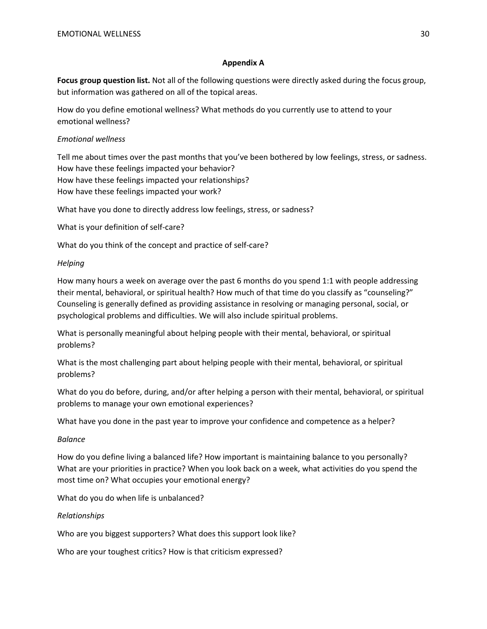## **Appendix A**

**Focus group question list.** Not all of the following questions were directly asked during the focus group, but information was gathered on all of the topical areas.

How do you define emotional wellness? What methods do you currently use to attend to your emotional wellness?

## *Emotional wellness*

Tell me about times over the past months that you've been bothered by low feelings, stress, or sadness. How have these feelings impacted your behavior? How have these feelings impacted your relationships? How have these feelings impacted your work?

What have you done to directly address low feelings, stress, or sadness?

What is your definition of self-care?

What do you think of the concept and practice of self-care?

## *Helping*

How many hours a week on average over the past 6 months do you spend 1:1 with people addressing their mental, behavioral, or spiritual health? How much of that time do you classify as "counseling?" Counseling is generally defined as providing assistance in resolving or managing personal, social, or psychological problems and difficulties. We will also include spiritual problems.

What is personally meaningful about helping people with their mental, behavioral, or spiritual problems?

What is the most challenging part about helping people with their mental, behavioral, or spiritual problems?

What do you do before, during, and/or after helping a person with their mental, behavioral, or spiritual problems to manage your own emotional experiences?

What have you done in the past year to improve your confidence and competence as a helper?

## *Balance*

How do you define living a balanced life? How important is maintaining balance to you personally? What are your priorities in practice? When you look back on a week, what activities do you spend the most time on? What occupies your emotional energy?

What do you do when life is unbalanced?

## *Relationships*

Who are you biggest supporters? What does this support look like?

Who are your toughest critics? How is that criticism expressed?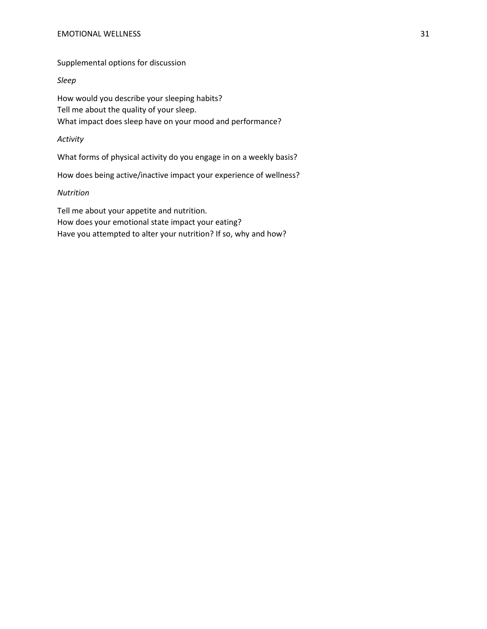Supplemental options for discussion

## *Sleep*

How would you describe your sleeping habits? Tell me about the quality of your sleep. What impact does sleep have on your mood and performance?

## *Activity*

What forms of physical activity do you engage in on a weekly basis?

How does being active/inactive impact your experience of wellness?

## *Nutrition*

Tell me about your appetite and nutrition. How does your emotional state impact your eating? Have you attempted to alter your nutrition? If so, why and how?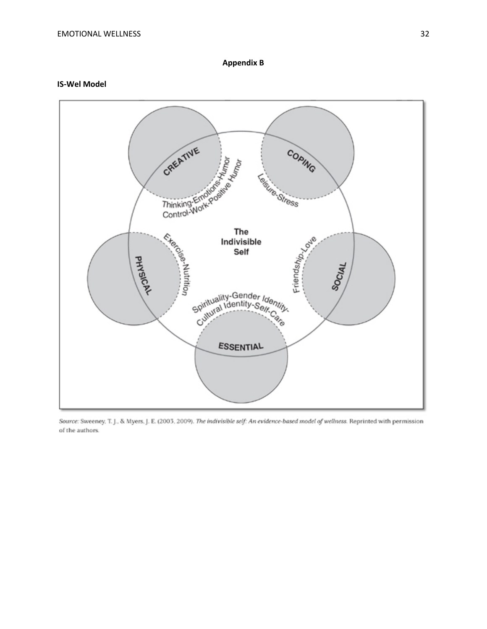#### **IS -Wel Model**



Source: Sweeney, T. J., & Myers, J. E. (2003, 2009). The indivisible self: An evidence-based model of wellness. Reprinted with permission of the authors.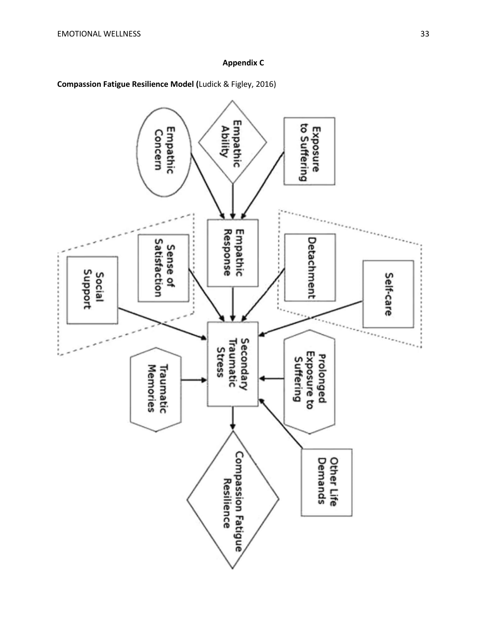# **Appendix C**

**Compassion Fatigue Resilience Model (**Ludick & Figley, 2016)

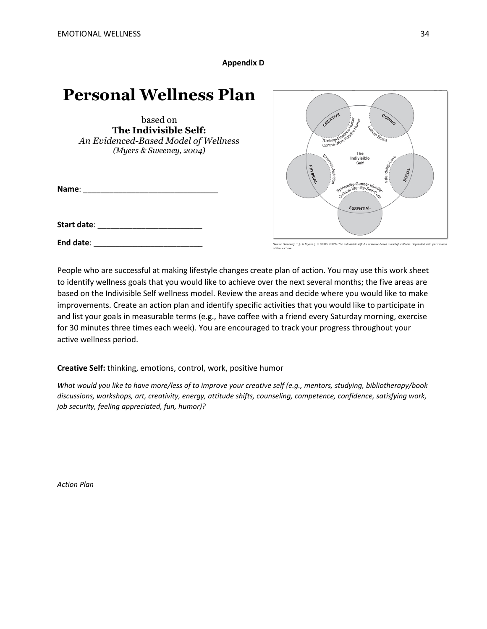**Appendix D**

# **Personal Wellness Plan**

based on **The Indivisible Self:** *An Evidenced-Based Model of Wellness (Myers & Sweeney, 2004)*

**Name**: \_\_\_\_\_\_\_\_\_\_\_\_\_\_\_\_\_\_\_\_\_\_\_\_\_\_\_\_\_\_\_

**Start date**: \_\_\_\_\_\_\_\_\_\_\_\_\_\_\_\_\_\_\_\_\_\_\_\_

**End date**: \_\_\_\_\_\_\_\_\_\_\_\_\_\_\_\_\_\_\_\_\_\_\_\_\_



-<br>Source: Sweeney, T. J., & Myers, J. E. (2003, 2009). The indivisible self: An evidence-based model of wellness. Reprinted with period is

People who are successful at making lifestyle changes create plan of action. You may use this work sheet to identify wellness goals that you would like to achieve over the next several months; the five areas are based on the Indivisible Self wellness model. Review the areas and decide where you would like to make improvements. Create an action plan and identify specific activities that you would like to participate in and list your goals in measurable terms (e.g., have coffee with a friend every Saturday morning, exercise for 30 minutes three times each week). You are encouraged to track your progress throughout your active wellness period.

**Creative Self:** thinking, emotions, control, work, positive humor

*What would you like to have more/less of to improve your creative self (e.g., mentors, studying, bibliotherapy/book discussions, workshops, art, creativity, energy, attitude shifts, counseling, competence, confidence, satisfying work, job security, feeling appreciated, fun, humor)?*

*Action Plan*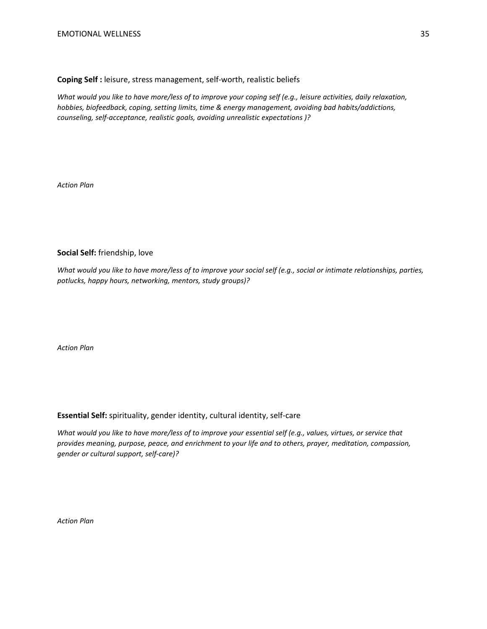## **Coping Self :** leisure, stress management, self-worth, realistic beliefs

*What would you like to have more/less of to improve your coping self (e.g., leisure activities, daily relaxation, hobbies, biofeedback, coping, setting limits, time & energy management, avoiding bad habits/addictions, counseling, self-acceptance, realistic goals, avoiding unrealistic expectations )?*

*Action Plan*

## **Social Self:** friendship, love

*What would you like to have more/less of to improve your social self (e.g., social or intimate relationships, parties, potlucks, happy hours, networking, mentors, study groups)?*

*Action Plan*

## **Essential Self:** spirituality, gender identity, cultural identity, self-care

*What would you like to have more/less of to improve your essential self (e.g., values, virtues, or service that provides meaning, purpose, peace, and enrichment to your life and to others, prayer, meditation, compassion, gender or cultural support, self-care)?*

*Action Plan*